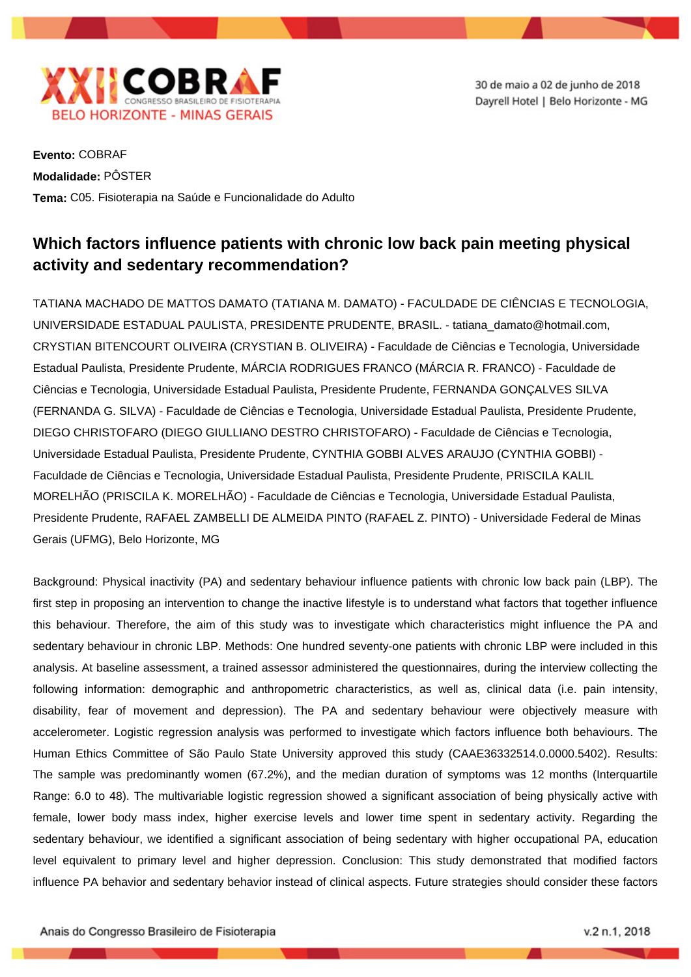

30 de maio a 02 de junho de 2018 Dayrell Hotel | Belo Horizonte - MG

**Evento:** COBRAF **Modalidade:** PÔSTER **Tema:** C05. Fisioterapia na Saúde e Funcionalidade do Adulto

## **Which factors influence patients with chronic low back pain meeting physical activity and sedentary recommendation?**

TATIANA MACHADO DE MATTOS DAMATO (TATIANA M. DAMATO) - FACULDADE DE CIÊNCIAS E TECNOLOGIA, UNIVERSIDADE ESTADUAL PAULISTA, PRESIDENTE PRUDENTE, BRASIL. - tatiana\_damato@hotmail.com, CRYSTIAN BITENCOURT OLIVEIRA (CRYSTIAN B. OLIVEIRA) - Faculdade de Ciências e Tecnologia, Universidade Estadual Paulista, Presidente Prudente, MÁRCIA RODRIGUES FRANCO (MÁRCIA R. FRANCO) - Faculdade de Ciências e Tecnologia, Universidade Estadual Paulista, Presidente Prudente, FERNANDA GONÇALVES SILVA (FERNANDA G. SILVA) - Faculdade de Ciências e Tecnologia, Universidade Estadual Paulista, Presidente Prudente, DIEGO CHRISTOFARO (DIEGO GIULLIANO DESTRO CHRISTOFARO) - Faculdade de Ciências e Tecnologia, Universidade Estadual Paulista, Presidente Prudente, CYNTHIA GOBBI ALVES ARAUJO (CYNTHIA GOBBI) - Faculdade de Ciências e Tecnologia, Universidade Estadual Paulista, Presidente Prudente, PRISCILA KALIL MORELHÃO (PRISCILA K. MORELHÃO) - Faculdade de Ciências e Tecnologia, Universidade Estadual Paulista, Presidente Prudente, RAFAEL ZAMBELLI DE ALMEIDA PINTO (RAFAEL Z. PINTO) - Universidade Federal de Minas Gerais (UFMG), Belo Horizonte, MG

Background: Physical inactivity (PA) and sedentary behaviour influence patients with chronic low back pain (LBP). The first step in proposing an intervention to change the inactive lifestyle is to understand what factors that together influence this behaviour. Therefore, the aim of this study was to investigate which characteristics might influence the PA and sedentary behaviour in chronic LBP. Methods: One hundred seventy-one patients with chronic LBP were included in this analysis. At baseline assessment, a trained assessor administered the questionnaires, during the interview collecting the following information: demographic and anthropometric characteristics, as well as, clinical data (i.e. pain intensity, disability, fear of movement and depression). The PA and sedentary behaviour were objectively measure with accelerometer. Logistic regression analysis was performed to investigate which factors influence both behaviours. The Human Ethics Committee of São Paulo State University approved this study (CAAE36332514.0.0000.5402). Results: The sample was predominantly women (67.2%), and the median duration of symptoms was 12 months (Interquartile Range: 6.0 to 48). The multivariable logistic regression showed a significant association of being physically active with female, lower body mass index, higher exercise levels and lower time spent in sedentary activity. Regarding the sedentary behaviour, we identified a significant association of being sedentary with higher occupational PA, education level equivalent to primary level and higher depression. Conclusion: This study demonstrated that modified factors influence PA behavior and sedentary behavior instead of clinical aspects. Future strategies should consider these factors